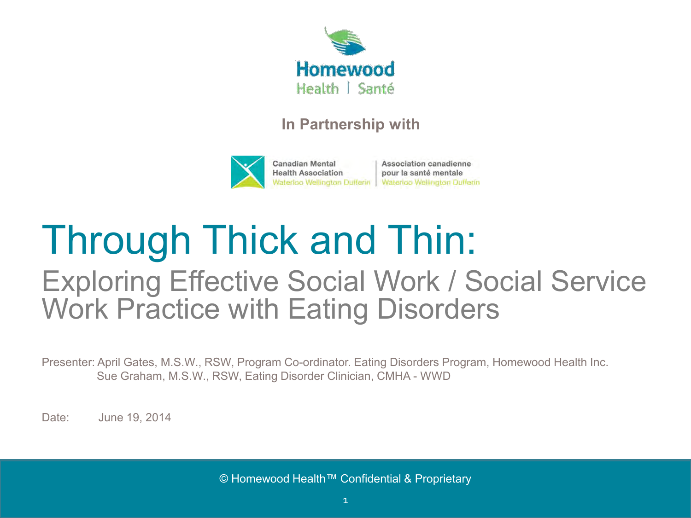

#### **In Partnership with**



## Through Thick and Thin: Exploring Effective Social Work / Social Service Work Practice with Eating Disorders

Presenter: April Gates, M.S.W., RSW, Program Co-ordinator. Eating Disorders Program, Homewood Health Inc. Sue Graham, M.S.W., RSW, Eating Disorder Clinician, CMHA - WWD

Date: June 19, 2014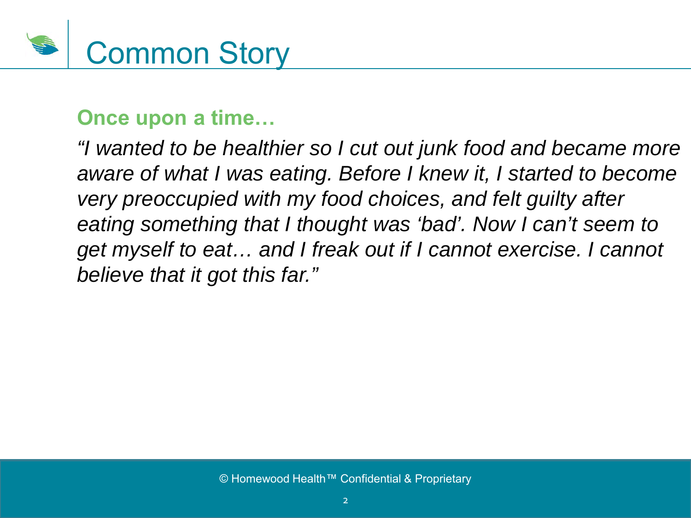

#### **Once upon a time…**

*"I wanted to be healthier so I cut out junk food and became more aware of what I was eating. Before I knew it, I started to become very preoccupied with my food choices, and felt guilty after eating something that I thought was 'bad'. Now I can't seem to get myself to eat… and I freak out if I cannot exercise. I cannot believe that it got this far."*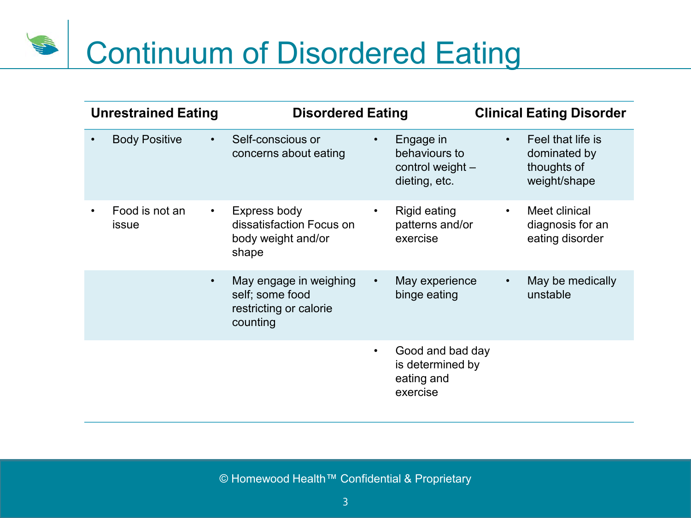# Continuum of Disordered Eating

| <b>Unrestrained Eating</b> |                         |           | <b>Disordered Eating</b>                                                        |           |                                                                   | <b>Clinical Eating Disorder</b> |                                                                  |
|----------------------------|-------------------------|-----------|---------------------------------------------------------------------------------|-----------|-------------------------------------------------------------------|---------------------------------|------------------------------------------------------------------|
|                            | <b>Body Positive</b>    | $\bullet$ | Self-conscious or<br>concerns about eating                                      | $\bullet$ | Engage in<br>behaviours to<br>control weight $-$<br>dieting, etc. | $\bullet$                       | Feel that life is<br>dominated by<br>thoughts of<br>weight/shape |
|                            | Food is not an<br>issue | $\bullet$ | Express body<br>dissatisfaction Focus on<br>body weight and/or<br>shape         | $\bullet$ | Rigid eating<br>patterns and/or<br>exercise                       | $\bullet$                       | Meet clinical<br>diagnosis for an<br>eating disorder             |
|                            |                         | $\bullet$ | May engage in weighing<br>self; some food<br>restricting or calorie<br>counting | $\bullet$ | May experience<br>binge eating                                    | $\bullet$                       | May be medically<br>unstable                                     |
|                            |                         |           |                                                                                 | $\bullet$ | Good and bad day<br>is determined by<br>eating and<br>exercise    |                                 |                                                                  |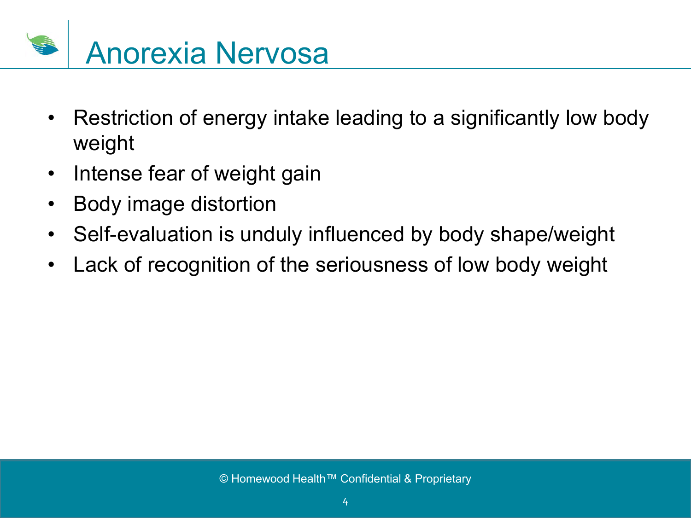

- Restriction of energy intake leading to a significantly low body weight
- Intense fear of weight gain
- Body image distortion
- Self-evaluation is unduly influenced by body shape/weight
- Lack of recognition of the seriousness of low body weight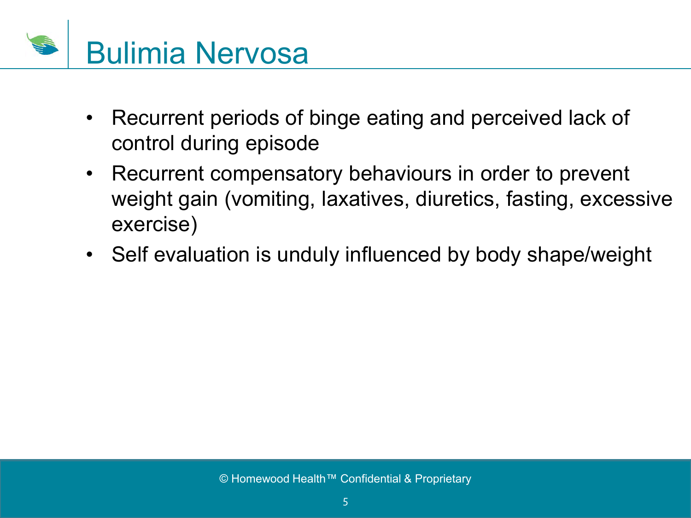

- Recurrent periods of binge eating and perceived lack of control during episode
- Recurrent compensatory behaviours in order to prevent weight gain (vomiting, laxatives, diuretics, fasting, excessive exercise)
- Self evaluation is unduly influenced by body shape/weight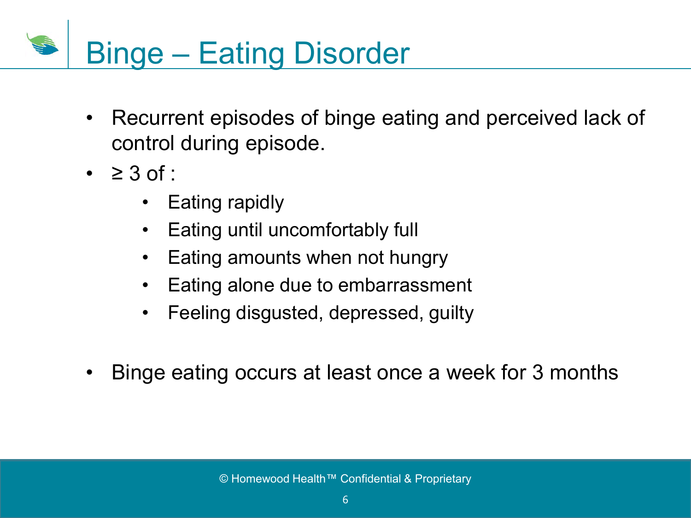Binge – Eating Disorder

- Recurrent episodes of binge eating and perceived lack of control during episode.
- $\cdot$   $\geq$  3 of :
	- Eating rapidly
	- Eating until uncomfortably full
	- Eating amounts when not hungry
	- Eating alone due to embarrassment
	- Feeling disgusted, depressed, guilty
- Binge eating occurs at least once a week for 3 months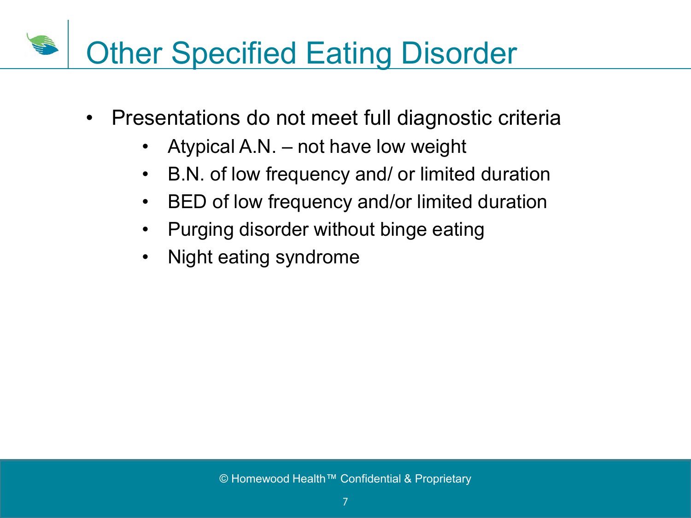# Other Specified Eating Disorder

- Presentations do not meet full diagnostic criteria
	- Atypical A.N. not have low weight
	- B.N. of low frequency and/ or limited duration
	- BED of low frequency and/or limited duration
	- Purging disorder without binge eating
	- Night eating syndrome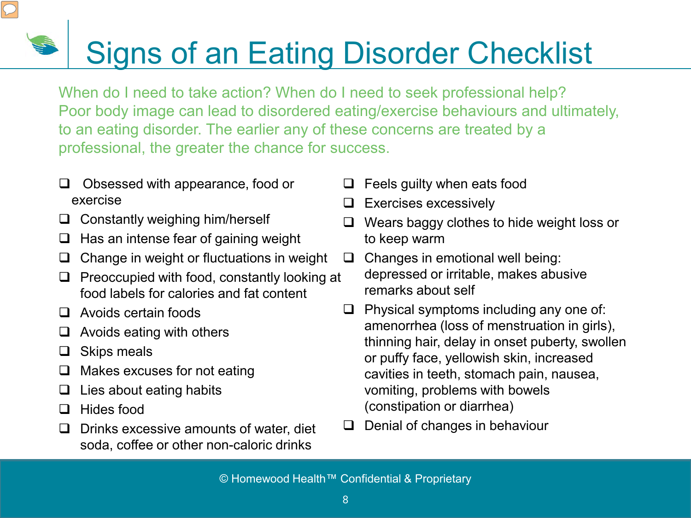## Signs of an Eating Disorder Checklist

When do I need to take action? When do I need to seek professional help? Poor body image can lead to disordered eating/exercise behaviours and ultimately, to an eating disorder. The earlier any of these concerns are treated by a professional, the greater the chance for success.

- $\Box$  Obsessed with appearance, food or exercise
- $\Box$  Constantly weighing him/herself
- $\Box$  Has an intense fear of gaining weight
- $\Box$  Change in weight or fluctuations in weight
- $\Box$  Preoccupied with food, constantly looking at food labels for calories and fat content
- $\Box$  Avoids certain foods
- $\Box$  Avoids eating with others
- $\Box$  Skips meals

 $\sqrt{2}$ 

- $\Box$  Makes excuses for not eating
- $\Box$  Lies about eating habits
- $\Box$  Hides food
- $\Box$  Drinks excessive amounts of water, diet soda, coffee or other non-caloric drinks
- Feels guilty when eats food
- $\Box$  Exercises excessively
- $\Box$  Wears baggy clothes to hide weight loss or to keep warm
- $\Box$  Changes in emotional well being: depressed or irritable, makes abusive remarks about self
- $\Box$  Physical symptoms including any one of: amenorrhea (loss of menstruation in girls), thinning hair, delay in onset puberty, swollen or puffy face, yellowish skin, increased cavities in teeth, stomach pain, nausea, vomiting, problems with bowels (constipation or diarrhea)
- $\Box$  Denial of changes in behaviour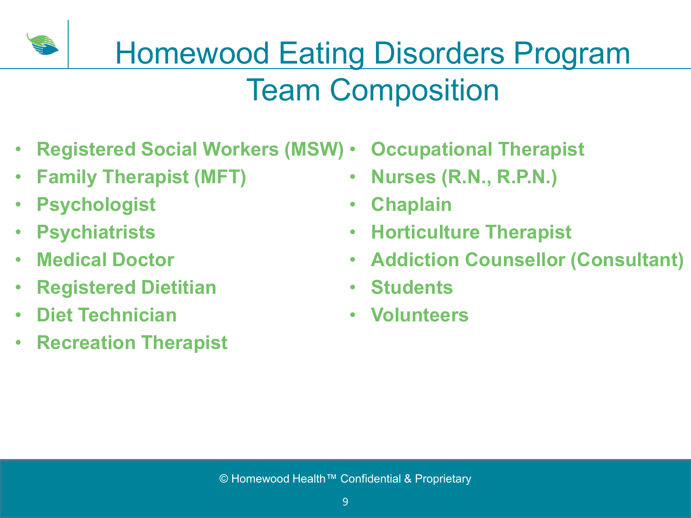## Homewood Eating Disorders Program Team Composition

- **Registered Social Workers (MSW)** • **Occupational Therapist**
- **Family Therapist (MFT)**
- **Psychologist**
- **Psychiatrists**
- **Medical Doctor**
- **Registered Dietitian**
- **Diet Technician**
- **Recreation Therapist**
- **Nurses (R.N., R.P.N.)**
- **Chaplain**
- **Horticulture Therapist**
- **Addiction Counsellor (Consultant)**
- **Students**
- **Volunteers**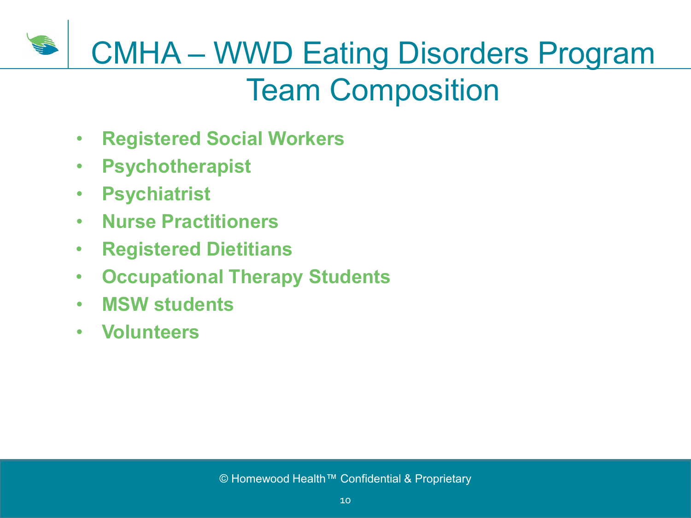## CMHA – WWD Eating Disorders Program Team Composition

- **Registered Social Workers**
- **Psychotherapist**
- **Psychiatrist**
- **Nurse Practitioners**
- **Registered Dietitians**
- **Occupational Therapy Students**
- **MSW students**
- **Volunteers**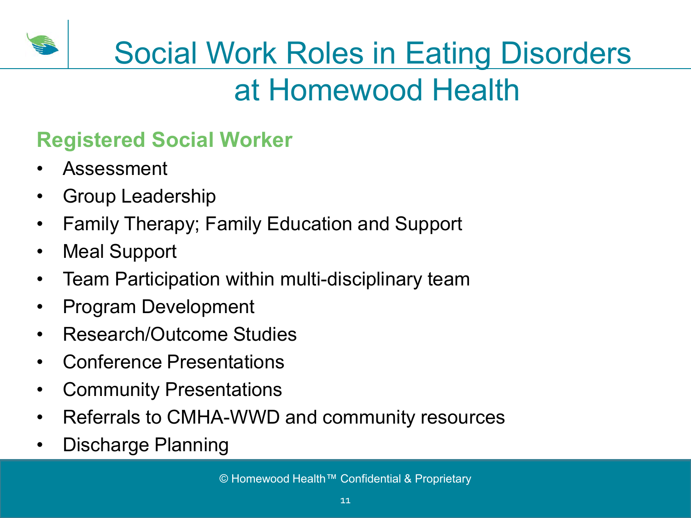## Social Work Roles in Eating Disorders at Homewood Health

### **Registered Social Worker**

- Assessment
- Group Leadership
- Family Therapy; Family Education and Support
- Meal Support
- Team Participation within multi-disciplinary team
- Program Development
- Research/Outcome Studies
- Conference Presentations
- Community Presentations
- Referrals to CMHA-WWD and community resources
- Discharge Planning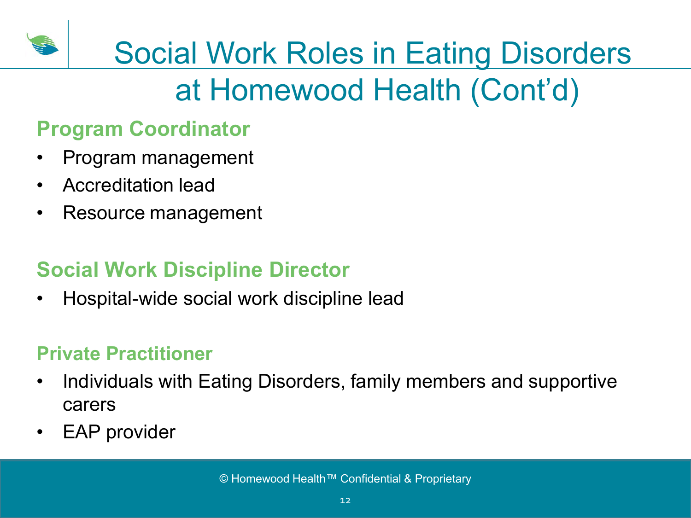

### **Program Coordinator**

- Program management
- Accreditation lead
- Resource management

### **Social Work Discipline Director**

• Hospital-wide social work discipline lead

#### **Private Practitioner**

- Individuals with Eating Disorders, family members and supportive carers
- EAP provider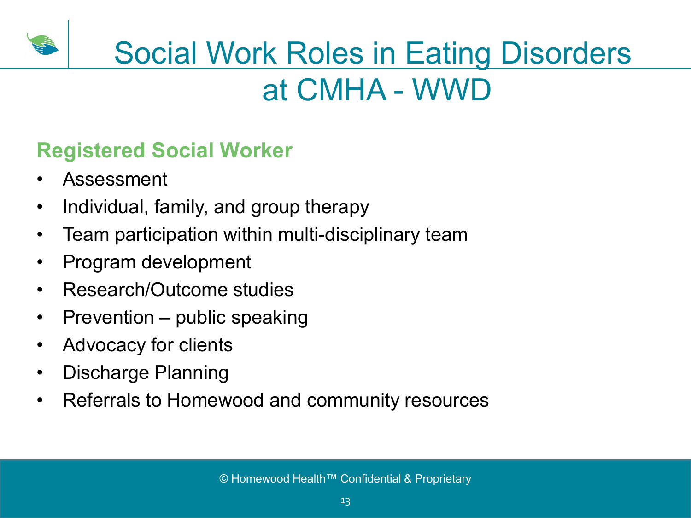## Social Work Roles in Eating Disorders at CMHA - WWD

### **Registered Social Worker**

- Assessment
- Individual, family, and group therapy
- Team participation within multi-disciplinary team
- Program development
- Research/Outcome studies
- Prevention public speaking
- Advocacy for clients
- Discharge Planning
- Referrals to Homewood and community resources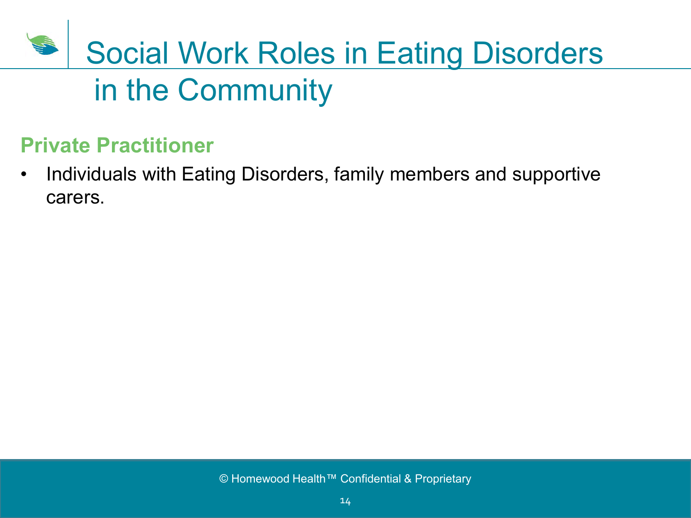# Social Work Roles in Eating Disorders in the Community

#### **Private Practitioner**

• Individuals with Eating Disorders, family members and supportive carers.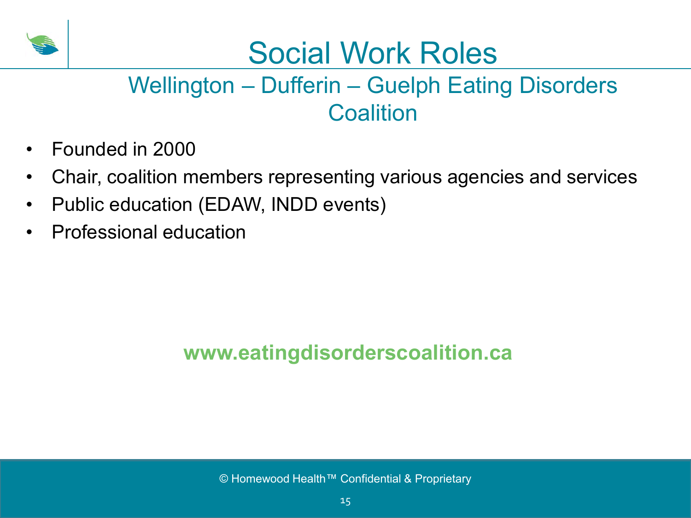

Social Work Roles

### Wellington – Dufferin – Guelph Eating Disorders **Coalition**

- Founded in 2000
- Chair, coalition members representing various agencies and services
- Public education (EDAW, INDD events)
- Professional education

### **www.eatingdisorderscoalition.ca**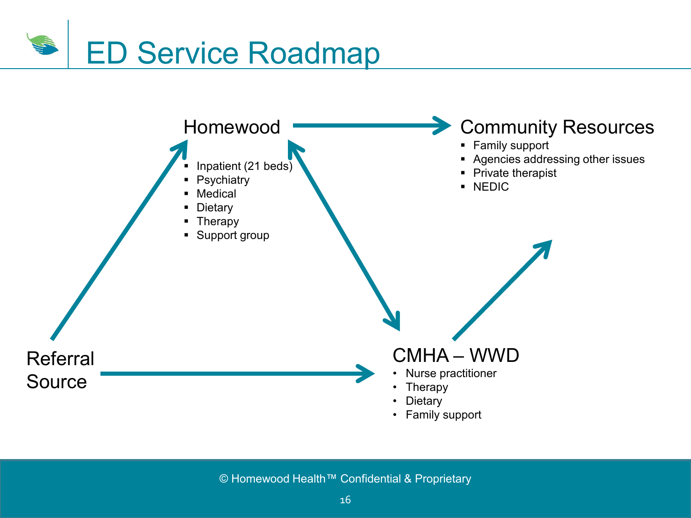

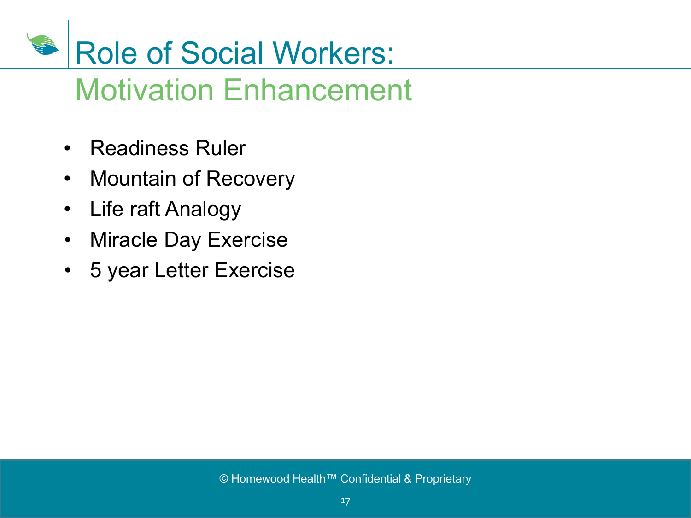## Role of Social Workers:

### Motivation Enhancement

- Readiness Ruler
- Mountain of Recovery
- Life raft Analogy
- Miracle Day Exercise
- 5 year Letter Exercise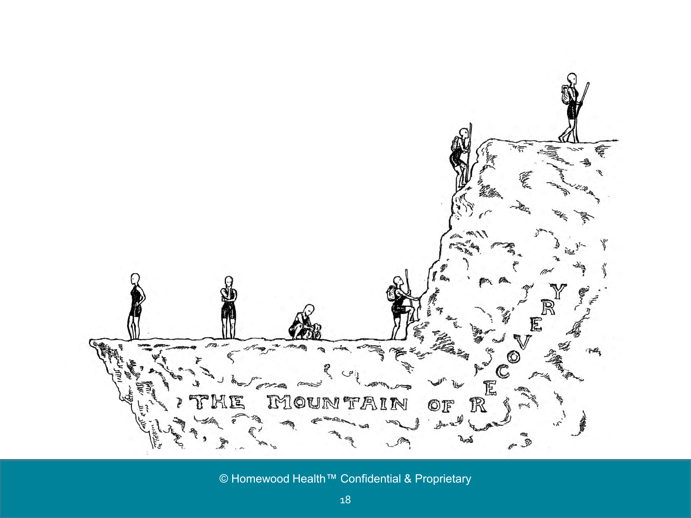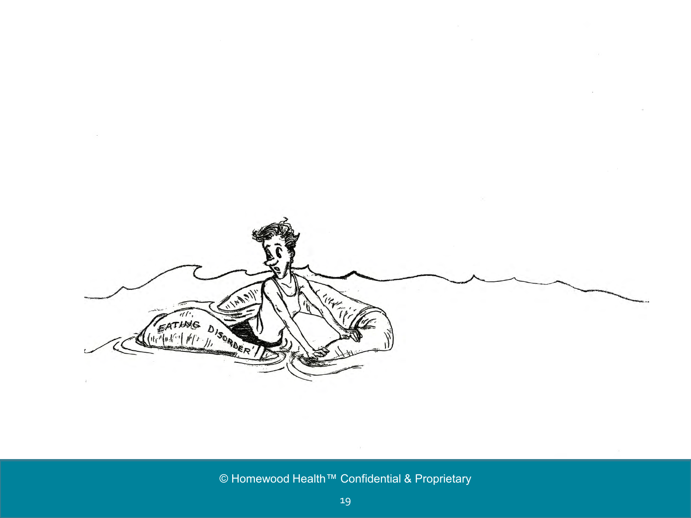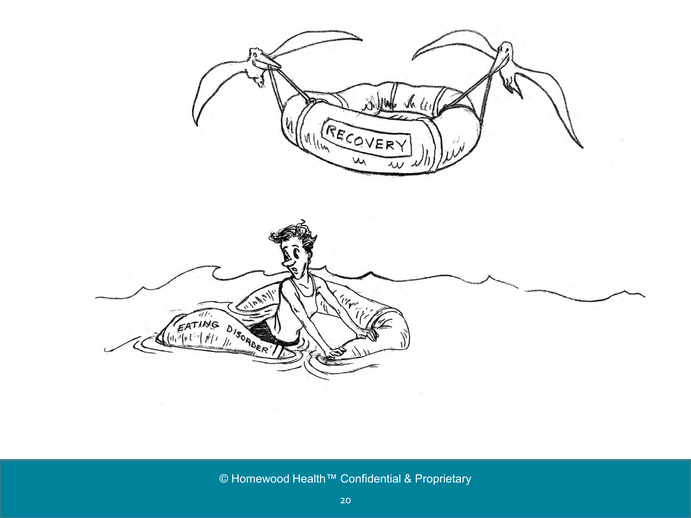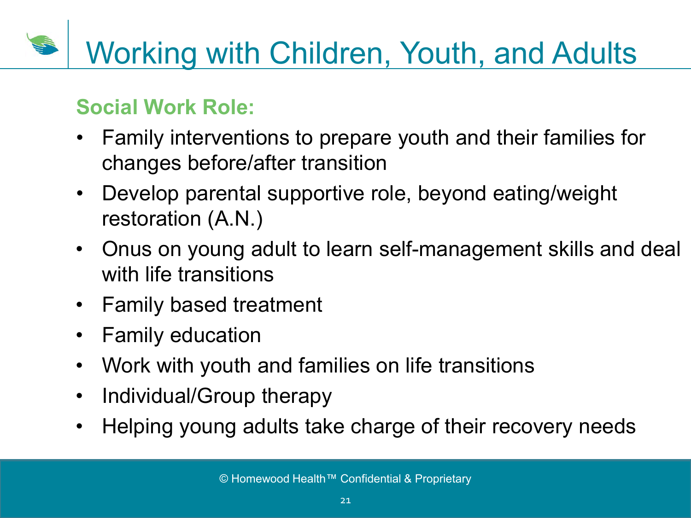# Working with Children, Youth, and Adults

### **Social Work Role:**

- Family interventions to prepare youth and their families for changes before/after transition
- Develop parental supportive role, beyond eating/weight restoration (A.N.)
- Onus on young adult to learn self-management skills and deal with life transitions
- Family based treatment
- Family education
- Work with youth and families on life transitions
- Individual/Group therapy
- Helping young adults take charge of their recovery needs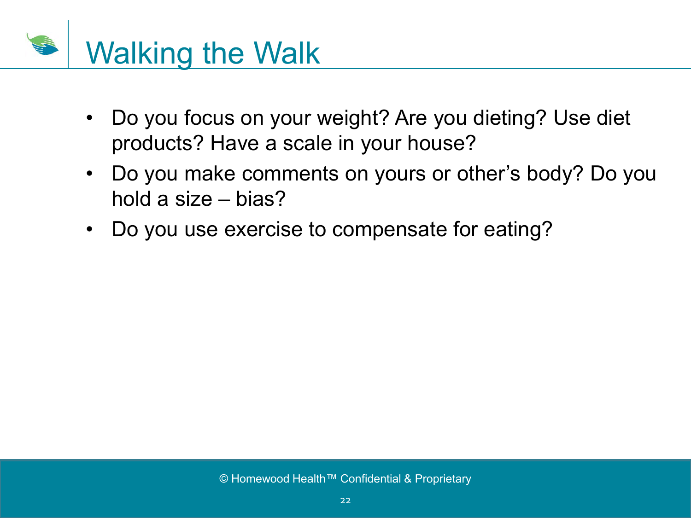

- Do you focus on your weight? Are you dieting? Use diet products? Have a scale in your house?
- Do you make comments on yours or other's body? Do you hold a size – bias?
- Do you use exercise to compensate for eating?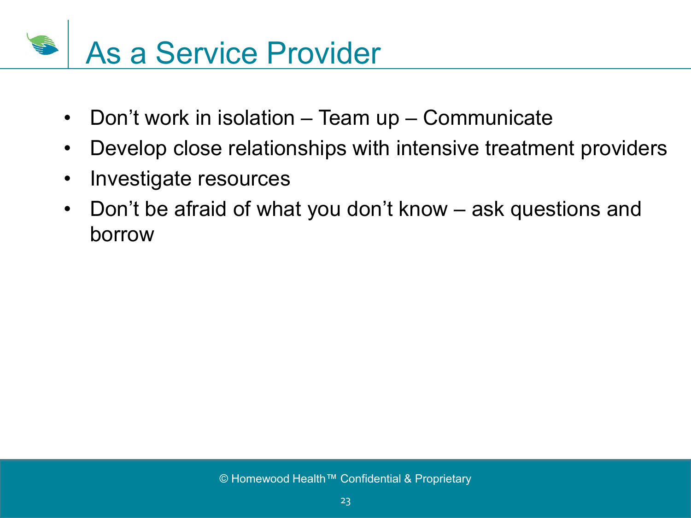# As a Service Provider

- Don't work in isolation Team up Communicate
- Develop close relationships with intensive treatment providers
- Investigate resources
- Don't be afraid of what you don't know ask questions and borrow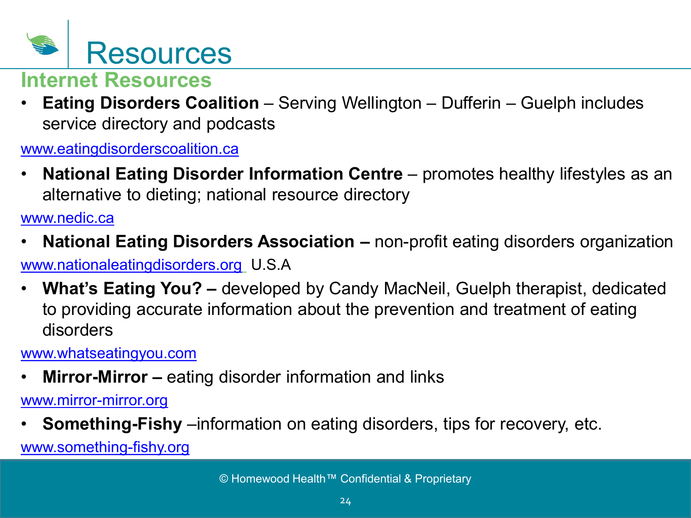

#### **Internet Resources**

**Eating Disorders Coalition** – Serving Wellington – Dufferin – Guelph includes service directory and podcasts

[www.eatingdisorderscoalition.ca](http://www.eatingdisorderscoalition.ca/)

• **National Eating Disorder Information Centre** – promotes healthy lifestyles as an alternative to dieting; national resource directory

[www.nedic.ca](http://www.nedic.ca/)

- **National Eating Disorders Association** non-profit eating disorders organization [www.nationaleatingdisorders.org](http://www.nationaleatingdisorders.org/) U.S.A
- **What's Eating You?** developed by Candy MacNeil, Guelph therapist, dedicated to providing accurate information about the prevention and treatment of eating disorders

[www.whatseatingyou.com](http://www.whatseatingyou.com/)

• **Mirror-Mirror –** eating disorder information and links

[www.mirror-mirror.org](http://www.mirror-mirror.org/)

• **Something-Fishy** –information on eating disorders, tips for recovery, etc.

[www.something-fishy.org](http://www.something-fishy.org/)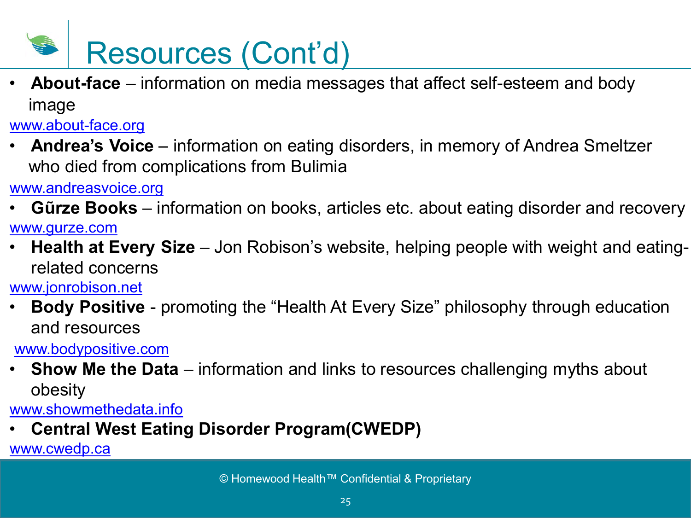# Resources (Cont'd)

• **About-face** – information on media messages that affect self-esteem and body image

[www.about-face.org](http://www.about-face.org/)

• **Andrea's Voice** – information on eating disorders, in memory of Andrea Smeltzer who died from complications from Bulimia

[www.andreasvoice.org](http://www.andreasvoice.org/)

- **Gũrze Books**  information on books, articles etc. about eating disorder and recovery [www.gurze.com](http://www.gurze.com/)
- **Health at Every Size**  Jon Robison's website, helping people with weight and eatingrelated concerns

[www.jonrobison.net](http://www.jobrobison.net/)

• **Body Positive** - promoting the "Health At Every Size" philosophy through education and resources

[www.bodypositive.com](http://www.bodypositive.com/)

• **Show Me the Data** – information and links to resources challenging myths about obesity

[www.showmethedata.info](http://www.showmethedata.info/) 

• **Central West Eating Disorder Program(CWEDP)** 

[www.cwedp.ca](http://www.cwedp.ca/)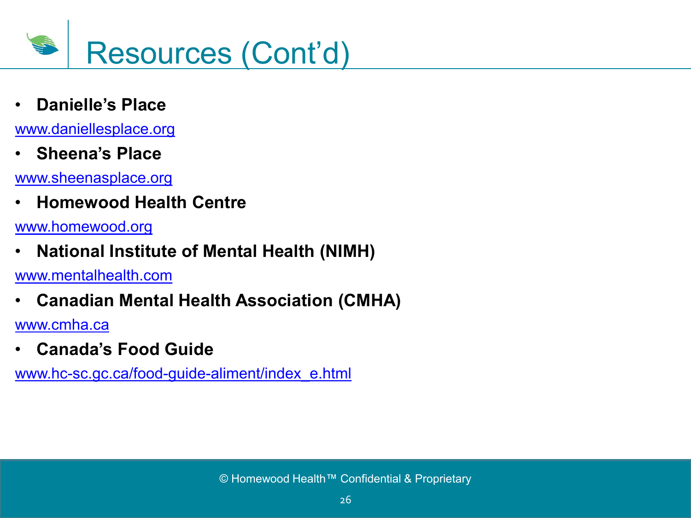

• **Danielle's Place** 

[www.daniellesplace.org](http://www.daniellesplace.org/)

• **Sheena's Place**

[www.sheenasplace.org](http://www.sheenasplace.org/)

• **Homewood Health Centre**

[www.homewood.org](http://www.homewood.org/)

• **National Institute of Mental Health (NIMH)** 

[www.mentalhealth.com](http://www.mentalhealth.com/)

• **Canadian Mental Health Association (CMHA)**

[www.cmha.ca](http://www.cmha.ca/)

• **Canada's Food Guide**

[www.hc-sc.gc.ca/food-guide-aliment/index\\_e.html](http://www.hc-sc.gc.ca/food-guide-aliment/index_e.html)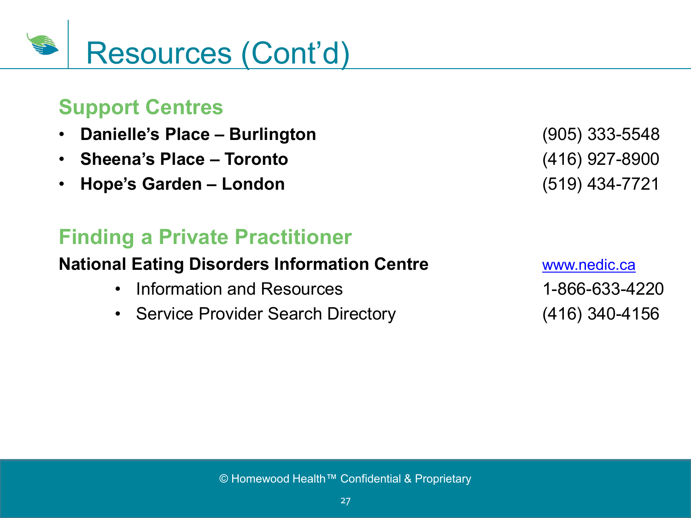

#### **Support Centres**

- **Danielle's Place Burlington** (905) 333-5548
- **Sheena's Place Toronto** (416) 927-8900
- **Hope's Garden London** (519) 434-7721

### **Finding a Private Practitioner**

#### **National Eating Disorders Information Centre WWW.nedic.ca**

- Information and Resources 1-866-633-4220
- Service Provider Search Directory (416) 340-4156